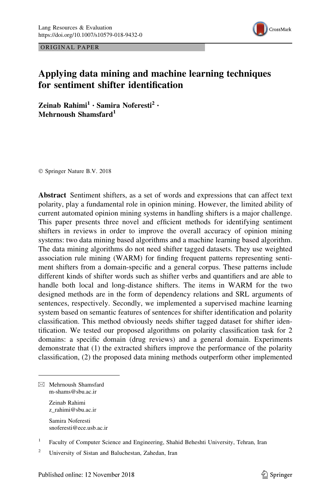

ORIGINAL PAPER

# Applying data mining and machine learning techniques for sentiment shifter identification

Zeinab Rahimi $<sup>1</sup> \cdot$  Samira Noferesti<sup>2</sup> •</sup> Mehrnoush Shamsfard<sup>1</sup>

© Springer Nature B.V. 2018

Abstract Sentiment shifters, as a set of words and expressions that can affect text polarity, play a fundamental role in opinion mining. However, the limited ability of current automated opinion mining systems in handling shifters is a major challenge. This paper presents three novel and efficient methods for identifying sentiment shifters in reviews in order to improve the overall accuracy of opinion mining systems: two data mining based algorithms and a machine learning based algorithm. The data mining algorithms do not need shifter tagged datasets. They use weighted association rule mining (WARM) for finding frequent patterns representing sentiment shifters from a domain-specific and a general corpus. These patterns include different kinds of shifter words such as shifter verbs and quantifiers and are able to handle both local and long-distance shifters. The items in WARM for the two designed methods are in the form of dependency relations and SRL arguments of sentences, respectively. Secondly, we implemented a supervised machine learning system based on semantic features of sentences for shifter identification and polarity classification. This method obviously needs shifter tagged dataset for shifter identification. We tested our proposed algorithms on polarity classification task for 2 domains: a specific domain (drug reviews) and a general domain. Experiments demonstrate that (1) the extracted shifters improve the performance of the polarity classification, (2) the proposed data mining methods outperform other implemented

 $\boxtimes$  Mehrnoush Shamsfard m-shams@sbu.ac.ir

> Zeinab Rahimi z\_rahimi@sbu.ac.ir

Samira Noferesti snoferesti@ece.usb.ac.ir

<sup>1</sup> Faculty of Computer Science and Engineering, Shahid Beheshti University, Tehran, Iran

<sup>2</sup> University of Sistan and Baluchestan, Zahedan, Iran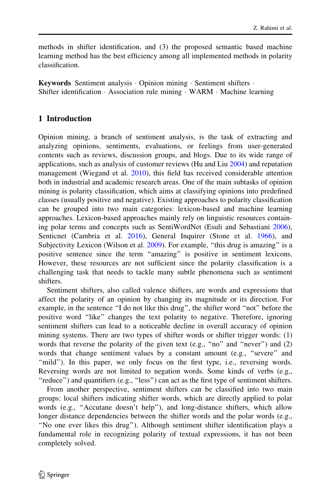methods in shifter identification, and (3) the proposed semantic based machine learning method has the best efficiency among all implemented methods in polarity classification.

Keywords Sentiment analysis - Opinion mining - Sentiment shifters - Shifter identification - Association rule mining - WARM - Machine learning

## 1 Introduction

Opinion mining, a branch of sentiment analysis, is the task of extracting and analyzing opinions, sentiments, evaluations, or feelings from user-generated contents such as reviews, discussion groups, and blogs. Due to its wide range of applications, such as analysis of customer reviews (Hu and Liu  $2004$ ) and reputation management (Wiegand et al. [2010](#page-23-0)), this field has received considerable attention both in industrial and academic research areas. One of the main subtasks of opinion mining is polarity classification, which aims at classifying opinions into predefined classes (usually positive and negative). Existing approaches to polarity classification can be grouped into two main categories: lexicon-based and machine learning approaches. Lexicon-based approaches mainly rely on linguistic resources containing polar terms and concepts such as SentiWordNet (Esuli and Sebastiani [2006\)](#page-22-0), Senticnet (Cambria et al. [2016](#page-21-0)), General Inquirer (Stone et al. [1966\)](#page-22-0), and Subjectivity Lexicon (Wilson et al. [2009](#page-23-0)). For example, "this drug is amazing" is a positive sentence since the term ''amazing'' is positive in sentiment lexicons. However, these resources are not sufficient since the polarity classification is a challenging task that needs to tackle many subtle phenomena such as sentiment shifters.

Sentiment shifters, also called valence shifters, are words and expressions that affect the polarity of an opinion by changing its magnitude or its direction. For example, in the sentence ''I do not like this drug'', the shifter word ''not'' before the positive word ''like'' changes the text polarity to negative. Therefore, ignoring sentiment shifters can lead to a noticeable decline in overall accuracy of opinion mining systems. There are two types of shifter words or shifter trigger words: (1) words that reverse the polarity of the given text (e.g., "no" and "never") and (2) words that change sentiment values by a constant amount (e.g., "severe" and "mild"). In this paper, we only focus on the first type, i.e., reversing words. Reversing words are not limited to negation words. Some kinds of verbs (e.g., "reduce") and quantifiers (e.g., "less") can act as the first type of sentiment shifters.

From another perspective, sentiment shifters can be classified into two main groups: local shifters indicating shifter words, which are directly applied to polar words (e.g., ''Accutane doesn't help''), and long-distance shifters, which allow longer distance dependencies between the shifter words and the polar words (e.g., ''No one ever likes this drug''). Although sentiment shifter identification plays a fundamental role in recognizing polarity of textual expressions, it has not been completely solved.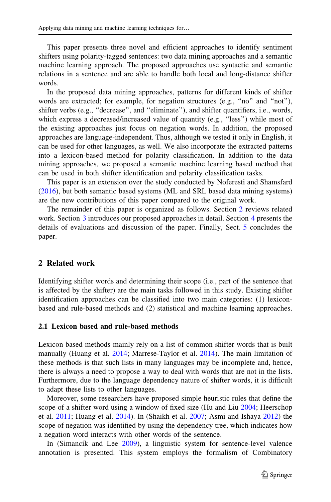This paper presents three novel and efficient approaches to identify sentiment shifters using polarity-tagged sentences: two data mining approaches and a semantic machine learning approach. The proposed approaches use syntactic and semantic relations in a sentence and are able to handle both local and long-distance shifter words.

In the proposed data mining approaches, patterns for different kinds of shifter words are extracted; for example, for negation structures (e.g., "no" and "not"), shifter verbs (e.g., "decrease", and "eliminate"), and shifter quantifiers, i.e., words, which express a decreased/increased value of quantity (e.g., "less") while most of the existing approaches just focus on negation words. In addition, the proposed approaches are language-independent. Thus, although we tested it only in English, it can be used for other languages, as well. We also incorporate the extracted patterns into a lexicon-based method for polarity classification. In addition to the data mining approaches, we proposed a semantic machine learning based method that can be used in both shifter identification and polarity classification tasks.

This paper is an extension over the study conducted by Noferesti and Shamsfard [\(2016](#page-22-0)), but both semantic based systems (ML and SRL based data mining systems) are the new contributions of this paper compared to the original work.

The remainder of this paper is organized as follows. Section 2 reviews related work. Section [3](#page-4-0) introduces our proposed approaches in detail. Section [4](#page-11-0) presents the details of evaluations and discussion of the paper. Finally, Sect. [5](#page-21-0) concludes the paper.

### 2 Related work

Identifying shifter words and determining their scope (i.e., part of the sentence that is affected by the shifter) are the main tasks followed in this study. Existing shifter identification approaches can be classified into two main categories: (1) lexiconbased and rule-based methods and (2) statistical and machine learning approaches.

#### 2.1 Lexicon based and rule-based methods

Lexicon based methods mainly rely on a list of common shifter words that is built manually (Huang et al. [2014](#page-22-0); Marrese-Taylor et al. [2014\)](#page-22-0). The main limitation of these methods is that such lists in many languages may be incomplete and, hence, there is always a need to propose a way to deal with words that are not in the lists. Furthermore, due to the language dependency nature of shifter words, it is difficult to adapt these lists to other languages.

Moreover, some researchers have proposed simple heuristic rules that define the scope of a shifter word using a window of fixed size (Hu and Liu [2004;](#page-22-0) Heerschop et al. [2011](#page-22-0); Huang et al. [2014\)](#page-22-0). In (Shaikh et al. [2007;](#page-22-0) Asmi and Ishaya [2012\)](#page-21-0) the scope of negation was identified by using the dependency tree, which indicates how a negation word interacts with other words of the sentence.

In (Simancík and Lee  $2009$ ), a linguistic system for sentence-level valence annotation is presented. This system employs the formalism of Combinatory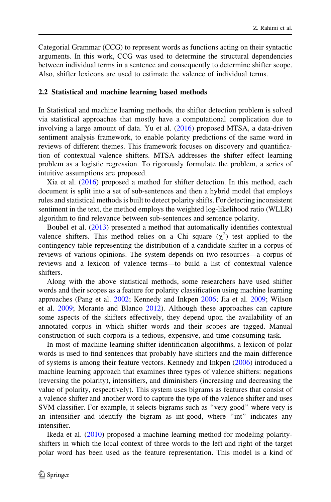Categorial Grammar (CCG) to represent words as functions acting on their syntactic arguments. In this work, CCG was used to determine the structural dependencies between individual terms in a sentence and consequently to determine shifter scope. Also, shifter lexicons are used to estimate the valence of individual terms.

#### 2.2 Statistical and machine learning based methods

In Statistical and machine learning methods, the shifter detection problem is solved via statistical approaches that mostly have a computational complication due to involving a large amount of data. Yu et al. ([2016\)](#page-23-0) proposed MTSA, a data-driven sentiment analysis framework, to enable polarity predictions of the same word in reviews of different themes. This framework focuses on discovery and quantification of contextual valence shifters. MTSA addresses the shifter effect learning problem as a logistic regression. To rigorously formulate the problem, a series of intuitive assumptions are proposed.

Xia et al. ([2016\)](#page-23-0) proposed a method for shifter detection. In this method, each document is split into a set of sub-sentences and then a hybrid model that employs rules and statistical methods is built to detect polarity shifts. For detecting inconsistent sentiment in the text, the method employs the weighted log-likelihood ratio (WLLR) algorithm to find relevance between sub-sentences and sentence polarity.

Boubel et al. [\(2013](#page-21-0)) presented a method that automatically identifies contextual valence shifters. This method relies on a Chi square  $(\chi^2)$  test applied to the contingency table representing the distribution of a candidate shifter in a corpus of reviews of various opinions. The system depends on two resources—a corpus of reviews and a lexicon of valence terms—to build a list of contextual valence shifters.

Along with the above statistical methods, some researchers have used shifter words and their scopes as a feature for polarity classification using machine learning approaches (Pang et al. [2002](#page-22-0); Kennedy and Inkpen [2006](#page-22-0); Jia et al. [2009;](#page-22-0) Wilson et al. [2009;](#page-23-0) Morante and Blanco [2012\)](#page-22-0). Although these approaches can capture some aspects of the shifters effectively, they depend upon the availability of an annotated corpus in which shifter words and their scopes are tagged. Manual construction of such corpora is a tedious, expensive, and time-consuming task.

In most of machine learning shifter identification algorithms, a lexicon of polar words is used to find sentences that probably have shifters and the main difference of systems is among their feature vectors. Kennedy and Inkpen [\(2006](#page-22-0)) introduced a machine learning approach that examines three types of valence shifters: negations (reversing the polarity), intensifiers, and diminishers (increasing and decreasing the value of polarity, respectively). This system uses bigrams as features that consist of a valence shifter and another word to capture the type of the valence shifter and uses SVM classifier. For example, it selects bigrams such as ''very good'' where very is an intensifier and identify the bigram as int-good, where ''int'' indicates any intensifier.

Ikeda et al. [\(2010](#page-22-0)) proposed a machine learning method for modeling polarityshifters in which the local context of three words to the left and right of the target polar word has been used as the feature representation. This model is a kind of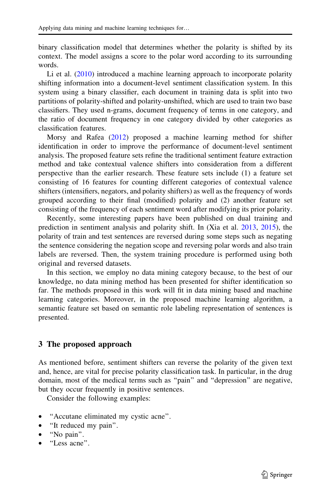<span id="page-4-0"></span>binary classification model that determines whether the polarity is shifted by its context. The model assigns a score to the polar word according to its surrounding words.

Li et al. [\(2010\)](#page-22-0) introduced a machine learning approach to incorporate polarity shifting information into a document-level sentiment classification system. In this system using a binary classifier, each document in training data is split into two partitions of polarity-shifted and polarity-unshifted, which are used to train two base classifiers. They used n-grams, document frequency of terms in one category, and the ratio of document frequency in one category divided by other categories as classification features.

Morsy and Rafea ([2012\)](#page-22-0) proposed a machine learning method for shifter identification in order to improve the performance of document-level sentiment analysis. The proposed feature sets refine the traditional sentiment feature extraction method and take contextual valence shifters into consideration from a different perspective than the earlier research. These feature sets include (1) a feature set consisting of 16 features for counting different categories of contextual valence shifters (intensifiers, negators, and polarity shifters) as well as the frequency of words grouped according to their final (modified) polarity and (2) another feature set consisting of the frequency of each sentiment word after modifying its prior polarity.

Recently, some interesting papers have been published on dual training and prediction in sentiment analysis and polarity shift. In (Xia et al. [2013](#page-23-0), [2015\)](#page-23-0), the polarity of train and test sentences are reversed during some steps such as negating the sentence considering the negation scope and reversing polar words and also train labels are reversed. Then, the system training procedure is performed using both original and reversed datasets.

In this section, we employ no data mining category because, to the best of our knowledge, no data mining method has been presented for shifter identification so far. The methods proposed in this work will fit in data mining based and machine learning categories. Moreover, in the proposed machine learning algorithm, a semantic feature set based on semantic role labeling representation of sentences is presented.

### 3 The proposed approach

As mentioned before, sentiment shifters can reverse the polarity of the given text and, hence, are vital for precise polarity classification task. In particular, in the drug domain, most of the medical terms such as ''pain'' and ''depression'' are negative, but they occur frequently in positive sentences.

Consider the following examples:

- ''Accutane eliminated my cystic acne''.
- "It reduced my pain".
- ''No pain''.
- ''Less acne''.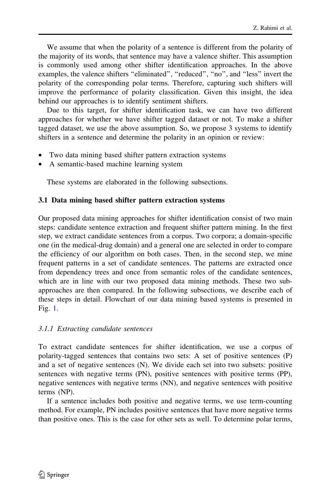We assume that when the polarity of a sentence is different from the polarity of the majority of its words, that sentence may have a valence shifter. This assumption is commonly used among other shifter identification approaches. In the above examples, the valence shifters "eliminated", "reduced", "no", and "less" invert the polarity of the corresponding polar terms. Therefore, capturing such shifters will improve the performance of polarity classification. Given this insight, the idea behind our approaches is to identify sentiment shifters.

Due to this target, for shifter identification task, we can have two different approaches for whether we have shifter tagged dataset or not. To make a shifter tagged dataset, we use the above assumption. So, we propose 3 systems to identify shifters in a sentence and determine the polarity in an opinion or review:

- Two data mining based shifter pattern extraction systems
- A semantic-based machine learning system

These systems are elaborated in the following subsections.

### 3.1 Data mining based shifter pattern extraction systems

Our proposed data mining approaches for shifter identification consist of two main steps: candidate sentence extraction and frequent shifter pattern mining. In the first step, we extract candidate sentences from a corpus. Two corpora; a domain-specific one (in the medical-drug domain) and a general one are selected in order to compare the efficiency of our algorithm on both cases. Then, in the second step, we mine frequent patterns in a set of candidate sentences. The patterns are extracted once from dependency trees and once from semantic roles of the candidate sentences, which are in line with our two proposed data mining methods. These two subapproaches are then compared. In the following subsections, we describe each of these steps in detail. Flowchart of our data mining based systems is presented in Fig. [1](#page-6-0).

### 3.1.1 Extracting candidate sentences

To extract candidate sentences for shifter identification, we use a corpus of polarity-tagged sentences that contains two sets: A set of positive sentences (P) and a set of negative sentences (N). We divide each set into two subsets: positive sentences with negative terms (PN), positive sentences with positive terms (PP), negative sentences with negative terms (NN), and negative sentences with positive terms (NP).

If a sentence includes both positive and negative terms, we use term-counting method. For example, PN includes positive sentences that have more negative terms than positive ones. This is the case for other sets as well. To determine polar terms,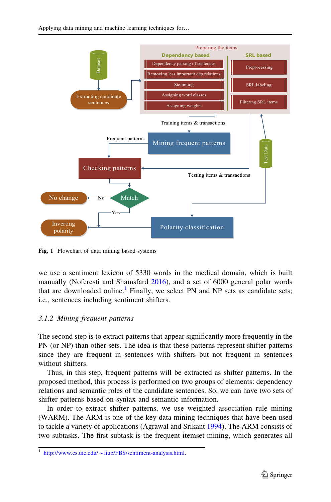<span id="page-6-0"></span>

Fig. 1 Flowchart of data mining based systems

we use a sentiment lexicon of 5330 words in the medical domain, which is built manually (Noferesti and Shamsfard [2016\)](#page-22-0), and a set of 6000 general polar words that are downloaded online.<sup>1</sup> Finally, we select PN and NP sets as candidate sets; i.e., sentences including sentiment shifters.

### 3.1.2 Mining frequent patterns

The second step is to extract patterns that appear significantly more frequently in the PN (or NP) than other sets. The idea is that these patterns represent shifter patterns since they are frequent in sentences with shifters but not frequent in sentences without shifters.

Thus, in this step, frequent patterns will be extracted as shifter patterns. In the proposed method, this process is performed on two groups of elements: dependency relations and semantic roles of the candidate sentences. So, we can have two sets of shifter patterns based on syntax and semantic information.

In order to extract shifter patterns, we use weighted association rule mining (WARM). The ARM is one of the key data mining techniques that have been used to tackle a variety of applications (Agrawal and Srikant [1994\)](#page-21-0). The ARM consists of two subtasks. The first subtask is the frequent itemset mining, which generates all

http://www.cs.uic.edu/~[liub/FBS/sentiment-analysis.html](http://www.cs.uic.edu/%7eliub/FBS/sentiment-analysis.html).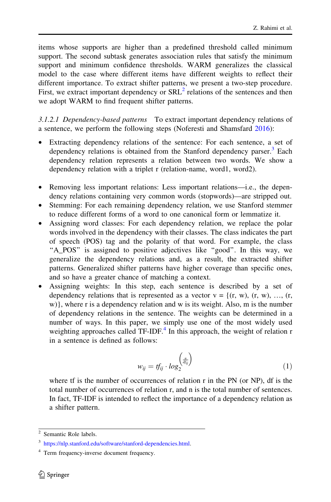items whose supports are higher than a predefined threshold called minimum support. The second subtask generates association rules that satisfy the minimum support and minimum confidence thresholds. WARM generalizes the classical model to the case where different items have different weights to reflect their different importance. To extract shifter patterns, we present a two-step procedure. First, we extract important dependency or  $SRL<sup>2</sup>$  relations of the sentences and then we adopt WARM to find frequent shifter patterns.

3.1.2.1 Dependency-based patterns To extract important dependency relations of a sentence, we perform the following steps (Noferesti and Shamsfard [2016](#page-22-0)):

- Extracting dependency relations of the sentence: For each sentence, a set of dependency relations is obtained from the Stanford dependency parser.<sup>3</sup> Each dependency relation represents a relation between two words. We show a dependency relation with a triplet r (relation-name, word1, word2).
- Removing less important relations: Less important relations—i.e., the dependency relations containing very common words (stopwords)—are stripped out.
- Stemming: For each remaining dependency relation, we use Stanford stemmer to reduce different forms of a word to one canonical form or lemmatize it.
- Assigning word classes: For each dependency relation, we replace the polar words involved in the dependency with their classes. The class indicates the part of speech (POS) tag and the polarity of that word. For example, the class "A\_POS" is assigned to positive adjectives like "good". In this way, we generalize the dependency relations and, as a result, the extracted shifter patterns. Generalized shifter patterns have higher coverage than specific ones, and so have a greater chance of matching a context.
- Assigning weights: In this step, each sentence is described by a set of dependency relations that is represented as a vector  $v = \{(r, w), (r, w), \ldots, (r,$ w)}, where r is a dependency relation and w is its weight. Also, m is the number of dependency relations in the sentence. The weights can be determined in a number of ways. In this paper, we simply use one of the most widely used weighting approaches called  $TF-IDF<sup>4</sup>$  In this approach, the weight of relation r in a sentence is defined as follows:

$$
w_{ij} = tf_{ij} \cdot log_2^{\left(\frac{n}{df_{ij}}\right)}\tag{1}
$$

where tf is the number of occurrences of relation r in the PN (or NP), df is the total number of occurrences of relation r, and n is the total number of sentences. In fact, TF-IDF is intended to reflect the importance of a dependency relation as a shifter pattern.

 $\overline{2}$  Semantic Role labels.

<sup>3</sup> <https://nlp.stanford.edu/software/stanford-dependencies.html>.

<sup>4</sup> Term frequency-inverse document frequency.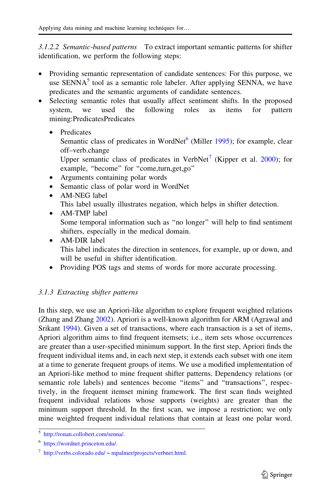<span id="page-8-0"></span>3.1.2.2 Semantic-based patterns To extract important semantic patterns for shifter identification, we perform the following steps:

- Providing semantic representation of candidate sentences: For this purpose, we use  $SENNA<sup>5</sup>$  tool as a semantic role labeler. After applying SENNA, we have predicates and the semantic arguments of candidate sentences.
- Selecting semantic roles that usually affect sentiment shifts. In the proposed system, we used the following roles as items for pattern mining:PredicatesPredicates
	- **Predicates**

Semantic class of predicates in WordNet $<sup>6</sup>$  (Miller [1995](#page-22-0)); for example, clear</sup> off–verb.change

Upper semantic class of predicates in VerbNet<sup>7</sup> (Kipper et al. [2000](#page-22-0)); for example, "become" for "come,turn,get,go"

- Arguments containing polar words
- Semantic class of polar word in WordNet
- AM-NEG label This label usually illustrates negation, which helps in shifter detection.
- AM-TMP label Some temporal information such as ''no longer'' will help to find sentiment shifters, especially in the medical domain.
- AM-DIR label This label indicates the direction in sentences, for example, up or down, and will be useful in shifter identification.
- Providing POS tags and stems of words for more accurate processing.

## 3.1.3 Extracting shifter patterns

In this step, we use an Apriori-like algorithm to explore frequent weighted relations (Zhang and Zhang [2002](#page-23-0)). Apriori is a well-known algorithm for ARM (Agrawal and Srikant [1994\)](#page-21-0). Given a set of transactions, where each transaction is a set of items, Apriori algorithm aims to find frequent itemsets; i.e., item sets whose occurrences are greater than a user-specified minimum support. In the first step, Apriori finds the frequent individual items and, in each next step, it extends each subset with one item at a time to generate frequent groups of items. We use a modified implementation of an Apriori-like method to mine frequent shifter patterns. Dependency relations (or semantic role labels) and sentences become ''items'' and ''transactions'', respectively, in the frequent itemset mining framework. The first scan finds weighted frequent individual relations whose supports (weights) are greater than the minimum support threshold. In the first scan, we impose a restriction; we only mine weighted frequent individual relations that contain at least one polar word.

<sup>5</sup> [http://ronan.collobert.com/senna/.](http://ronan.collobert.com/senna/)

<sup>6</sup> <https://wordnet.princeton.edu/>.

 $^7$  http://verbs.colorado.edu/  $\sim$  [mpalmer/projects/verbnet.html.](http://verbs.colorado.edu/%7empalmer/projects/verbnet.html)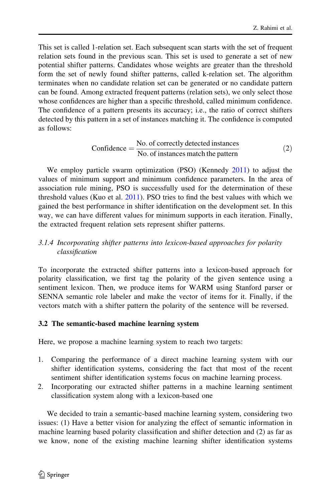<span id="page-9-0"></span>This set is called 1-relation set. Each subsequent scan starts with the set of frequent relation sets found in the previous scan. This set is used to generate a set of new potential shifter patterns. Candidates whose weights are greater than the threshold form the set of newly found shifter patterns, called k-relation set. The algorithm terminates when no candidate relation set can be generated or no candidate pattern can be found. Among extracted frequent patterns (relation sets), we only select those whose confidences are higher than a specific threshold, called minimum confidence. The confidence of a pattern presents its accuracy; i.e., the ratio of correct shifters detected by this pattern in a set of instances matching it. The confidence is computed as follows:

Confidence = 
$$
\frac{\text{No. of correctly detected instances}}{\text{No. of instances match the pattern}}
$$
 (2)

We employ particle swarm optimization (PSO) (Kennedy [2011](#page-22-0)) to adjust the values of minimum support and minimum confidence parameters. In the area of association rule mining, PSO is successfully used for the determination of these threshold values (Kuo et al. [2011](#page-22-0)). PSO tries to find the best values with which we gained the best performance in shifter identification on the development set. In this way, we can have different values for minimum supports in each iteration. Finally, the extracted frequent relation sets represent shifter patterns.

## 3.1.4 Incorporating shifter patterns into lexicon-based approaches for polarity classification

To incorporate the extracted shifter patterns into a lexicon-based approach for polarity classification, we first tag the polarity of the given sentence using a sentiment lexicon. Then, we produce items for WARM using Stanford parser or SENNA semantic role labeler and make the vector of items for it. Finally, if the vectors match with a shifter pattern the polarity of the sentence will be reversed.

## 3.2 The semantic-based machine learning system

Here, we propose a machine learning system to reach two targets:

- 1. Comparing the performance of a direct machine learning system with our shifter identification systems, considering the fact that most of the recent sentiment shifter identification systems focus on machine learning process.
- 2. Incorporating our extracted shifter patterns in a machine learning sentiment classification system along with a lexicon-based one

We decided to train a semantic-based machine learning system, considering two issues: (1) Have a better vision for analyzing the effect of semantic information in machine learning based polarity classification and shifter detection and (2) as far as we know, none of the existing machine learning shifter identification systems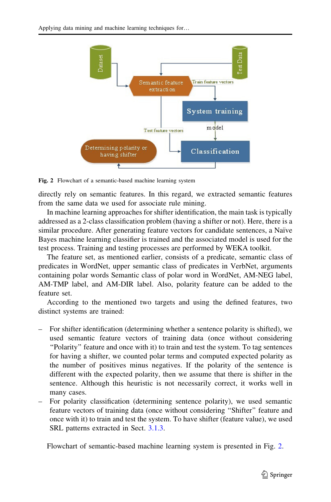

Fig. 2 Flowchart of a semantic-based machine learning system

directly rely on semantic features. In this regard, we extracted semantic features from the same data we used for associate rule mining.

In machine learning approaches for shifter identification, the main task is typically addressed as a 2-class classification problem (having a shifter or not). Here, there is a similar procedure. After generating feature vectors for candidate sentences, a Naïve Bayes machine learning classifier is trained and the associated model is used for the test process. Training and testing processes are performed by WEKA toolkit.

The feature set, as mentioned earlier, consists of a predicate, semantic class of predicates in WordNet, upper semantic class of predicates in VerbNet, arguments containing polar words Semantic class of polar word in WordNet, AM-NEG label, AM-TMP label, and AM-DIR label. Also, polarity feature can be added to the feature set.

According to the mentioned two targets and using the defined features, two distinct systems are trained:

- For shifter identification (determining whether a sentence polarity is shifted), we used semantic feature vectors of training data (once without considering ''Polarity'' feature and once with it) to train and test the system. To tag sentences for having a shifter, we counted polar terms and computed expected polarity as the number of positives minus negatives. If the polarity of the sentence is different with the expected polarity, then we assume that there is shifter in the sentence. Although this heuristic is not necessarily correct, it works well in many cases.
- For polarity classification (determining sentence polarity), we used semantic feature vectors of training data (once without considering ''Shifter'' feature and once with it) to train and test the system. To have shifter (feature value), we used SRL patterns extracted in Sect. [3.1.3.](#page-8-0)

Flowchart of semantic-based machine learning system is presented in Fig. 2.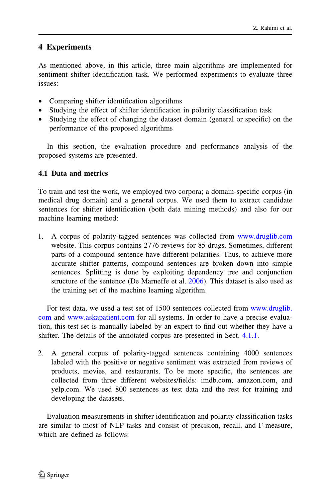## <span id="page-11-0"></span>4 Experiments

As mentioned above, in this article, three main algorithms are implemented for sentiment shifter identification task. We performed experiments to evaluate three issues:

- Comparing shifter identification algorithms
- Studying the effect of shifter identification in polarity classification task
- Studying the effect of changing the dataset domain (general or specific) on the performance of the proposed algorithms

In this section, the evaluation procedure and performance analysis of the proposed systems are presented.

## 4.1 Data and metrics

To train and test the work, we employed two corpora; a domain-specific corpus (in medical drug domain) and a general corpus. We used them to extract candidate sentences for shifter identification (both data mining methods) and also for our machine learning method:

1. A corpus of polarity-tagged sentences was collected from [www.druglib.com](http://www.druglib.com) website. This corpus contains 2776 reviews for 85 drugs. Sometimes, different parts of a compound sentence have different polarities. Thus, to achieve more accurate shifter patterns, compound sentences are broken down into simple sentences. Splitting is done by exploiting dependency tree and conjunction structure of the sentence (De Marneffe et al. [2006](#page-22-0)). This dataset is also used as the training set of the machine learning algorithm.

For test data, we used a test set of 1500 sentences collected from [www.druglib.](http://www.druglib.com) [com](http://www.druglib.com) and [www.askapatient.com](http://www.askapatient.com) for all systems. In order to have a precise evaluation, this test set is manually labeled by an expert to find out whether they have a shifter. The details of the annotated corpus are presented in Sect. [4.1.1.](#page-12-0)

2. A general corpus of polarity-tagged sentences containing 4000 sentences labeled with the positive or negative sentiment was extracted from reviews of products, movies, and restaurants. To be more specific, the sentences are collected from three different websites/fields: imdb.com, amazon.com, and yelp.com. We used 800 sentences as test data and the rest for training and developing the datasets.

Evaluation measurements in shifter identification and polarity classification tasks are similar to most of NLP tasks and consist of precision, recall, and F-measure, which are defined as follows: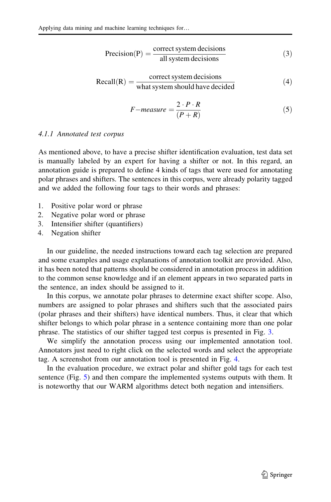<span id="page-12-0"></span>
$$
Precision(P) = \frac{correct\,system\, decisions}{all\,system\, decisions}
$$
\n(3)

$$
Recall(R) = \frac{\text{correct system decisions}}{\text{what system should have decided}}
$$
(4)

$$
F-measure = \frac{2 \cdot P \cdot R}{(P + R)}
$$
\n<sup>(5)</sup>

#### 4.1.1 Annotated test corpus

As mentioned above, to have a precise shifter identification evaluation, test data set is manually labeled by an expert for having a shifter or not. In this regard, an annotation guide is prepared to define 4 kinds of tags that were used for annotating polar phrases and shifters. The sentences in this corpus, were already polarity tagged and we added the following four tags to their words and phrases:

- 1. Positive polar word or phrase
- 2. Negative polar word or phrase
- 3. Intensifier shifter (quantifiers)
- 4. Negation shifter

In our guideline, the needed instructions toward each tag selection are prepared and some examples and usage explanations of annotation toolkit are provided. Also, it has been noted that patterns should be considered in annotation process in addition to the common sense knowledge and if an element appears in two separated parts in the sentence, an index should be assigned to it.

In this corpus, we annotate polar phrases to determine exact shifter scope. Also, numbers are assigned to polar phrases and shifters such that the associated pairs (polar phrases and their shifters) have identical numbers. Thus, it clear that which shifter belongs to which polar phrase in a sentence containing more than one polar phrase. The statistics of our shifter tagged test corpus is presented in Fig. [3.](#page-13-0)

We simplify the annotation process using our implemented annotation tool. Annotators just need to right click on the selected words and select the appropriate tag. A screenshot from our annotation tool is presented in Fig. [4.](#page-13-0)

In the evaluation procedure, we extract polar and shifter gold tags for each test sentence (Fig. [5\)](#page-13-0) and then compare the implemented systems outputs with them. It is noteworthy that our WARM algorithms detect both negation and intensifiers.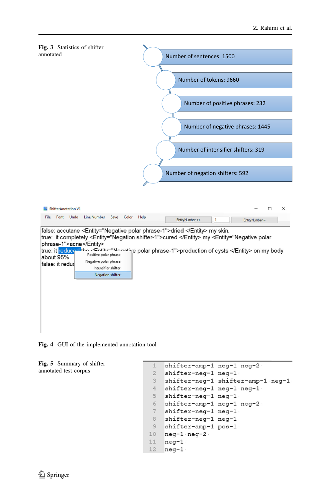<span id="page-13-0"></span>

Fig. 4 GUI of the implemented annotation tool

Fig. 5 Summary of shifter annotated test corpus

```
shifter-amp-1 neg-1 neg-2
 \mathbf{1}2^{\circ}shifter-neg-1 neg-1
 \overline{3}shifter-neg-1 shifter-amp-1 neg-1
 4shifter-neg-1 neg-1 neg-1
 5<sup>1</sup>shifter-neg-1 neg-1
    shifter-amp-1 neg-1 neg-2
 6 -7\phantom{.}shifter-neg-1 neg-1
 8
    shifter-neg-1 neg-1
9shifter-amp-1 pos-1
10neg-1 neg-2
11neg-112neg-1
```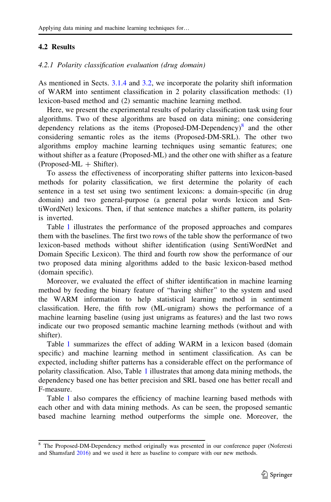### 4.2 Results

#### 4.2.1 Polarity classification evaluation (drug domain)

As mentioned in Sects. [3.1.4](#page-8-0) and [3.2](#page-9-0), we incorporate the polarity shift information of WARM into sentiment classification in 2 polarity classification methods: (1) lexicon-based method and (2) semantic machine learning method.

Here, we present the experimental results of polarity classification task using four algorithms. Two of these algorithms are based on data mining; one considering dependency relations as the items (Proposed-DM-Dependency) $\delta$  and the other considering semantic roles as the items (Proposed-DM-SRL). The other two algorithms employ machine learning techniques using semantic features; one without shifter as a feature (Proposed-ML) and the other one with shifter as a feature  $(Proposed-ML + Shifter).$ 

To assess the effectiveness of incorporating shifter patterns into lexicon-based methods for polarity classification, we first determine the polarity of each sentence in a test set using two sentiment lexicons: a domain-specific (in drug domain) and two general-purpose (a general polar words lexicon and SentiWordNet) lexicons. Then, if that sentence matches a shifter pattern, its polarity is inverted.

Table [1](#page-15-0) illustrates the performance of the proposed approaches and compares them with the baselines. The first two rows of the table show the performance of two lexicon-based methods without shifter identification (using SentiWordNet and Domain Specific Lexicon). The third and fourth row show the performance of our two proposed data mining algorithms added to the basic lexicon-based method (domain specific).

Moreover, we evaluated the effect of shifter identification in machine learning method by feeding the binary feature of ''having shifter'' to the system and used the WARM information to help statistical learning method in sentiment classification. Here, the fifth row (ML-unigram) shows the performance of a machine learning baseline (using just unigrams as features) and the last two rows indicate our two proposed semantic machine learning methods (without and with shifter).

Table [1](#page-15-0) summarizes the effect of adding WARM in a lexicon based (domain specific) and machine learning method in sentiment classification. As can be expected, including shifter patterns has a considerable effect on the performance of polarity classification. Also, Table [1](#page-15-0) illustrates that among data mining methods, the dependency based one has better precision and SRL based one has better recall and F-measure.

Table [1](#page-15-0) also compares the efficiency of machine learning based methods with each other and with data mining methods. As can be seen, the proposed semantic based machine learning method outperforms the simple one. Moreover, the

<sup>8</sup> The Proposed-DM-Dependency method originally was presented in our conference paper (Noferesti and Shamsfard [2016\)](#page-22-0) and we used it here as baseline to compare with our new methods.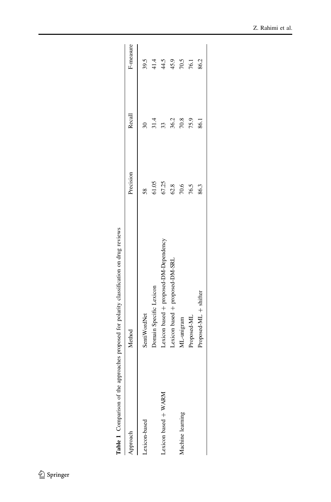<span id="page-15-0"></span>

| Approach             |                                        |           |        |           |
|----------------------|----------------------------------------|-----------|--------|-----------|
|                      | Method                                 | Precision | Recall | F-measure |
| Lexicon-based        | SentiWordNet                           | 58        |        | 39.5      |
|                      | Domain Specific Lexicon                | 61.05     | 31.4   | 41.4      |
| Lexicon based + WARM | Lexicon based + proposed-DM-Dependency | 67.25     | 33     | 4.5       |
|                      | Lexicon based + proposed-DM-SRL        | 62.8      | 36.2   | 45.9      |
| Machine learning     | ML-unigram                             | 70.6      | 70.8   | 70.5      |
|                      | Proposed-ML                            | 76.5      | 75.9   | 76.1      |
|                      | Proposed-ML + shifter                  | 86.3      | 86.1   | 86.2      |

Table 1 Comparison of the approaches proposed for polarity classification on drug reviews Table 1 Comparison of the approaches proposed for polarity classification on drug reviews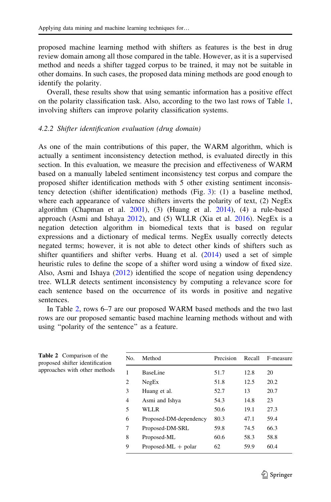proposed machine learning method with shifters as features is the best in drug review domain among all those compared in the table. However, as it is a supervised method and needs a shifter tagged corpus to be trained, it may not be suitable in other domains. In such cases, the proposed data mining methods are good enough to identify the polarity.

Overall, these results show that using semantic information has a positive effect on the polarity classification task. Also, according to the two last rows of Table [1,](#page-15-0) involving shifters can improve polarity classification systems.

#### 4.2.2 Shifter identification evaluation (drug domain)

As one of the main contributions of this paper, the WARM algorithm, which is actually a sentiment inconsistency detection method, is evaluated directly in this section. In this evaluation, we measure the precision and effectiveness of WARM based on a manually labeled sentiment inconsistency test corpus and compare the proposed shifter identification methods with 5 other existing sentiment inconsistency detection (shifter identification) methods (Fig. [3\)](#page-13-0): (1) a baseline method, where each appearance of valence shifters inverts the polarity of text, (2) NegEx algorithm (Chapman et al.  $2001$ ), (3) (Huang et al.  $2014$ ), (4) a rule-based approach (Asmi and Ishaya [2012](#page-21-0)), and (5) WLLR (Xia et al. [2016\)](#page-23-0). NegEx is a negation detection algorithm in biomedical texts that is based on regular expressions and a dictionary of medical terms. NegEx usually correctly detects negated terms; however, it is not able to detect other kinds of shifters such as shifter quantifiers and shifter verbs. Huang et al. ([2014\)](#page-22-0) used a set of simple heuristic rules to define the scope of a shifter word using a window of fixed size. Also, Asmi and Ishaya [\(2012](#page-21-0)) identified the scope of negation using dependency tree. WLLR detects sentiment inconsistency by computing a relevance score for each sentence based on the occurrence of its words in positive and negative sentences.

In Table 2, rows 6–7 are our proposed WARM based methods and the two last rows are our proposed semantic based machine learning methods without and with using ''polarity of the sentence'' as a feature.

| No.            | Method                 | Precision | Recall | F-measure |
|----------------|------------------------|-----------|--------|-----------|
| 1              | BaseLine               | 51.7      | 12.8   | 20        |
| $\overline{c}$ | NegEx                  | 51.8      | 12.5   | 20.2      |
| 3              | Huang et al.           | 52.7      | 13     | 20.7      |
| $\overline{4}$ | Asmi and Ishya         | 54.3      | 14.8   | 23        |
| 5              | WLLR                   | 50.6      | 19.1   | 27.3      |
| 6              | Proposed-DM-dependency | 80.3      | 47.1   | 59.4      |
| 7              | Proposed-DM-SRL        | 59.8      | 74.5   | 66.3      |
| 8              | Proposed-ML            | 60.6      | 58.3   | 58.8      |
| 9              | Proposed-ML $+$ polar  | 62        | 59.9   | 60.4      |
|                |                        |           |        |           |

Table 2 Comparison of the proposed shifter identification approaches with other methods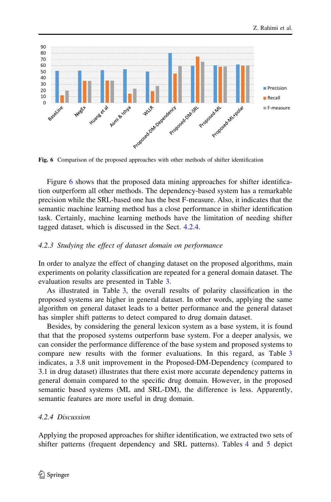

Fig. 6 Comparison of the proposed approaches with other methods of shifter identification

Figure 6 shows that the proposed data mining approaches for shifter identification outperform all other methods. The dependency-based system has a remarkable precision while the SRL-based one has the best F-measure. Also, it indicates that the semantic machine learning method has a close performance in shifter identification task. Certainly, machine learning methods have the limitation of needing shifter tagged dataset, which is discussed in the Sect. 4.2.4.

### 4.2.3 Studying the effect of dataset domain on performance

In order to analyze the effect of changing dataset on the proposed algorithms, main experiments on polarity classification are repeated for a general domain dataset. The evaluation results are presented in Table [3](#page-18-0).

As illustrated in Table [3,](#page-18-0) the overall results of polarity classification in the proposed systems are higher in general dataset. In other words, applying the same algorithm on general dataset leads to a better performance and the general dataset has simpler shift patterns to detect compared to drug domain dataset.

Besides, by considering the general lexicon system as a base system, it is found that that the proposed systems outperform base system. For a deeper analysis, we can consider the performance difference of the base system and proposed systems to compare new results with the former evaluations. In this regard, as Table [3](#page-18-0) indicates, a 3.8 unit improvement in the Proposed-DM-Dependency (compared to 3.1 in drug dataset) illustrates that there exist more accurate dependency patterns in general domain compared to the specific drug domain. However, in the proposed semantic based systems (ML and SRL-DM), the difference is less. Apparently, semantic features are more useful in drug domain.

### 4.2.4 Discussion

Applying the proposed approaches for shifter identification, we extracted two sets of shifter patterns (frequent dependency and SRL patterns). Tables [4](#page-19-0) and [5](#page-20-0) depict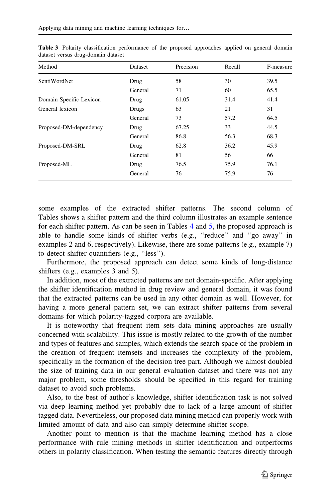| Method                  | Dataset | Precision | Recall | F-measure |
|-------------------------|---------|-----------|--------|-----------|
| SentiWordNet            | Drug    | 58        | 30     | 39.5      |
|                         | General | 71        | 60     | 65.5      |
| Domain Specific Lexicon | Drug    | 61.05     | 31.4   | 41.4      |
| General lexicon         | Drugs   | 63        | 21     | 31        |
|                         | General | 73        | 57.2   | 64.5      |
| Proposed-DM-dependency  | Drug    | 67.25     | 33     | 44.5      |
|                         | General | 86.8      | 56.3   | 68.3      |
| Proposed-DM-SRL         | Drug    | 62.8      | 36.2   | 45.9      |
|                         | General | 81        | 56     | 66        |
| Proposed-ML             | Drug    | 76.5      | 75.9   | 76.1      |
|                         | General | 76        | 75.9   | 76        |

<span id="page-18-0"></span>Table 3 Polarity classification performance of the proposed approaches applied on general domain dataset versus drug-domain dataset

some examples of the extracted shifter patterns. The second column of Tables shows a shifter pattern and the third column illustrates an example sentence for each shifter pattern. As can be seen in Tables [4](#page-19-0) and [5](#page-20-0), the proposed approach is able to handle some kinds of shifter verbs (e.g., ''reduce'' and ''go away'' in examples 2 and 6, respectively). Likewise, there are some patterns (e.g., example 7) to detect shifter quantifiers (e.g., ''less'').

Furthermore, the proposed approach can detect some kinds of long-distance shifters (e.g., examples 3 and 5).

In addition, most of the extracted patterns are not domain-specific. After applying the shifter identification method in drug review and general domain, it was found that the extracted patterns can be used in any other domain as well. However, for having a more general pattern set, we can extract shifter patterns from several domains for which polarity-tagged corpora are available.

It is noteworthy that frequent item sets data mining approaches are usually concerned with scalability. This issue is mostly related to the growth of the number and types of features and samples, which extends the search space of the problem in the creation of frequent itemsets and increases the complexity of the problem, specifically in the formation of the decision tree part. Although we almost doubled the size of training data in our general evaluation dataset and there was not any major problem, some thresholds should be specified in this regard for training dataset to avoid such problems.

Also, to the best of author's knowledge, shifter identification task is not solved via deep learning method yet probably due to lack of a large amount of shifter tagged data. Nevertheless, our proposed data mining method can properly work with limited amount of data and also can simply determine shifter scope.

Another point to mention is that the machine learning method has a close performance with rule mining methods in shifter identification and outperforms others in polarity classification. When testing the semantic features directly through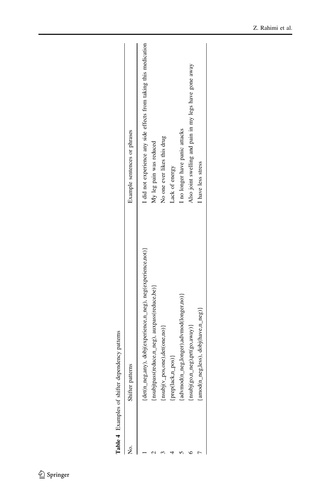| Table 4 Examples of shifter dependency patterns              |                                            |
|--------------------------------------------------------------|--------------------------------------------|
| Shifter patterns                                             | ixample sentences or phrases               |
| det(n_neg,any), dobj(experience,n_neg), neg(experience,not)} | I did not experience any side effects from |
| nsubjtpass(reduce,n_neg), auxpass(reduce,be)}                | My leg pain was reduced                    |
| $nsubi(v_p, one), det(one, no)$                              | No one ever likes this drug                |

<span id="page-19-0"></span>

| Shifter patterns                                              | Example sentences or phrases                                      |
|---------------------------------------------------------------|-------------------------------------------------------------------|
| (det(n_neg,any), dobj(experience,n_neg), neg(experience,not)} | I did not experience any side effects from taking this medication |
| nsubjtpass(reduce,n_neg), auxpass(reduce,be)}                 | My leg pain was reduced                                           |
| $n_{subj}(v_{p0},one),det(one,no)$                            | No one ever likes this drug                                       |
| prep(lack,n_pos)}                                             | Lack of energy                                                    |
| 'advmod(n_neg,longer),advmod(longer,no)}                      | I no longer have panic attacks                                    |
| nsubj(go,n_neg),prt(go,away)}                                 | Also joint swelling and pain in my legs have gone away            |
| amod(n_neg,less), dobj(have,n_neg)}                           | I have less stress                                                |
|                                                               |                                                                   |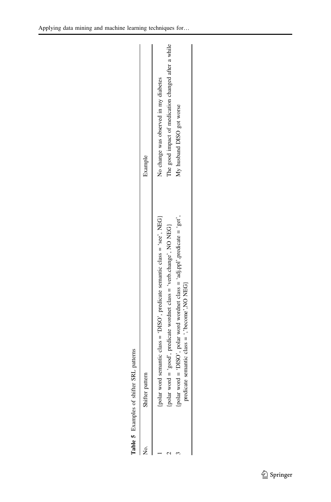<span id="page-20-0"></span>

| SRL patterns<br>Table 5 Examples of shifter                                                                                   |                                                     |
|-------------------------------------------------------------------------------------------------------------------------------|-----------------------------------------------------|
| Shifter pattern                                                                                                               | Example                                             |
| polar word semantic class = 'DISO', predicate semantic class = 'see', NEG}                                                    | No change was observed in my diabetes               |
| polar word = 'good', predicate wordnet class = 'verb.change', NO NEG}                                                         | The good impact of medication changed after a while |
| polar word = 'DISO', polar word wordnet class = 'adj.ppl', predicate = 'get'<br>predicate semantic class = ','become',NO NEG} | My husband DISO got worse                           |
|                                                                                                                               |                                                     |

| ļ<br>l |
|--------|
|        |
|        |
| ֕      |
|        |
|        |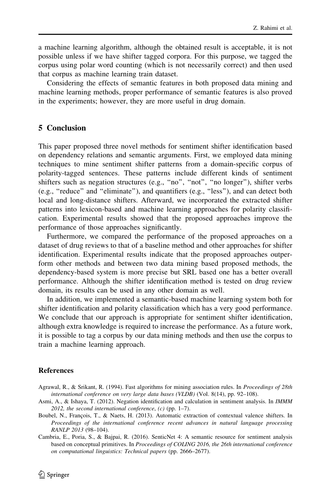<span id="page-21-0"></span>a machine learning algorithm, although the obtained result is acceptable, it is not possible unless if we have shifter tagged corpora. For this purpose, we tagged the corpus using polar word counting (which is not necessarily correct) and then used that corpus as machine learning train dataset.

Considering the effects of semantic features in both proposed data mining and machine learning methods, proper performance of semantic features is also proved in the experiments; however, they are more useful in drug domain.

### 5 Conclusion

This paper proposed three novel methods for sentiment shifter identification based on dependency relations and semantic arguments. First, we employed data mining techniques to mine sentiment shifter patterns from a domain-specific corpus of polarity-tagged sentences. These patterns include different kinds of sentiment shifters such as negation structures (e.g., ''no'', ''not'', ''no longer''), shifter verbs (e.g., ''reduce'' and ''eliminate''), and quantifiers (e.g., ''less''), and can detect both local and long-distance shifters. Afterward, we incorporated the extracted shifter patterns into lexicon-based and machine learning approaches for polarity classification. Experimental results showed that the proposed approaches improve the performance of those approaches significantly.

Furthermore, we compared the performance of the proposed approaches on a dataset of drug reviews to that of a baseline method and other approaches for shifter identification. Experimental results indicate that the proposed approaches outperform other methods and between two data mining based proposed methods, the dependency-based system is more precise but SRL based one has a better overall performance. Although the shifter identification method is tested on drug review domain, its results can be used in any other domain as well.

In addition, we implemented a semantic-based machine learning system both for shifter identification and polarity classification which has a very good performance. We conclude that our approach is appropriate for sentiment shifter identification, although extra knowledge is required to increase the performance. As a future work, it is possible to tag a corpus by our data mining methods and then use the corpus to train a machine learning approach.

#### **References**

- Agrawal, R., & Srikant, R. (1994). Fast algorithms for mining association rules. In Proceedings of 28th international conference on very large data bases (VLDB) (Vol. 8(14), pp. 92–108).
- Asmi, A., & Ishaya, T. (2012). Negation identification and calculation in sentiment analysis. In IMMM 2012, the second international conference,  $(c)$  (pp. 1–7).
- Boubel, N., François, T., & Naets, H. (2013). Automatic extraction of contextual valence shifters. In Proceedings of the international conference recent advances in natural language processing RANLP 2013 (98–104).
- Cambria, E., Poria, S., & Bajpai, R. (2016). SenticNet 4: A semantic resource for sentiment analysis based on conceptual primitives. In Proceedings of COLING 2016, the 26th international conference on computational linguistics: Technical papers (pp. 2666–2677).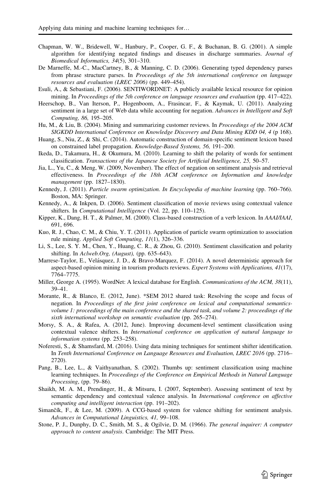- <span id="page-22-0"></span>Chapman, W. W., Bridewell, W., Hanbury, P., Cooper, G. F., & Buchanan, B. G. (2001). A simple algorithm for identifying negated findings and diseases in discharge summaries. Journal of Biomedical Informatics, 34(5), 301–310.
- De Marneffe, M.-C., MacCartney, B., & Manning, C. D. (2006). Generating typed dependency parses from phrase structure parses. In Proceedings of the 5th international conference on language resources and evaluation (LREC 2006) (pp. 449–454).
- Esuli, A., & Sebastiani, F. (2006). SENTIWORDNET: A publicly available lexical resource for opinion mining. In Proceedings of the 5th conference on language resources and evaluation (pp. 417–422).
- Heerschop, B., Van Iterson, P., Hogenboom, A., Frasincar, F., & Kaymak, U. (2011). Analyzing sentiment in a large set of Web data while accounting for negation. Advances in Intelligent and Soft Computing, 86, 195–205.
- Hu, M., & Liu, B. (2004). Mining and summarizing customer reviews. In *Proceedings of the 2004 ACM* SIGKDD International Conference on Knowledge Discovery and Data Mining KDD 04, 4 (p 168).
- Huang, S., Niu, Z., & Shi, C. (2014). Automatic construction of domain-specific sentiment lexicon based on constrained label propagation. Knowledge-Based Systems, 56, 191–200.
- Ikeda, D., Takamura, H., & Okumura, M. (2010). Learning to shift the polarity of words for sentiment classification. Transactions of the Japanese Society for Artificial Intelligence, 25, 50–57.
- Jia, L., Yu, C., & Meng, W. (2009, November). The effect of negation on sentiment analysis and retrieval effectiveness. In Proceedings of the 18th ACM conference on Information and knowledge management (pp. 1827–1830).
- Kennedy, J. (2011). Particle swarm optimization. In Encyclopedia of machine learning (pp. 760–766). Boston, MA: Springer.
- Kennedy, A., & Inkpen, D. (2006). Sentiment classification of movie reviews using contextual valence shifters. In Computational Intelligence (Vol. 22, pp. 110–125).
- Kipper, K., Dang, H. T., & Palmer, M. (2000). Class-based construction of a verb lexicon. In AAAI/IAAI, 691, 696.
- Kuo, R. J., Chao, C. M., & Chiu, Y. T. (2011). Application of particle swarm optimization to association rule mining. Applied Soft Computing, 11(1), 326–336.
- Li, S., Lee, S. Y. M., Chen, Y., Huang, C. R., & Zhou, G. (2010). Sentiment classification and polarity shifting. In Aclweb.Org, (August), (pp. 635–643).
- Marrese-Taylor, E., Velásquez, J. D., & Bravo-Marquez, F. (2014). A novel deterministic approach for aspect-based opinion mining in tourism products reviews. Expert Systems with Applications, 41(17), 7764–7775.
- Miller, George A. (1995). WordNet: A lexical database for English. Communications of the ACM, 38(11), 39–41.
- Morante, R., & Blanco, E. (2012, June). \*SEM 2012 shared task: Resolving the scope and focus of negation. In Proceedings of the first joint conference on lexical and computational semanticsvolume 1: proceedings of the main conference and the shared task, and volume 2: proceedings of the sixth international workshop on semantic evaluation (pp. 265–274).
- Morsy, S. A., & Rafea, A. (2012, June). Improving document-level sentiment classification using contextual valence shifters. In International conference on application of natural language to information systems (pp. 253–258).
- Noferesti, S., & Shamsfard, M. (2016). Using data mining techniques for sentiment shifter identification. In Tenth International Conference on Language Resources and Evaluation, LREC 2016 (pp. 2716– 2720).
- Pang, B., Lee, L., & Vaithyanathan, S. (2002). Thumbs up: sentiment classification using machine learning techniques. In Proceedings of the Conference on Empirical Methods in Natural Language Processing, (pp. 79–86).
- Shaikh, M. A. M., Prendinger, H., & Mitsuru, I. (2007, September). Assessing sentiment of text by semantic dependency and contextual valence analysis. In *International conference on affective* computing and intelligent interaction (pp. 191–202).
- Simančík, F., & Lee, M. (2009). A CCG-based system for valence shifting for sentiment analysis. Advances in Computational Linguistics, 41, 99–108.
- Stone, P. J., Dunphy, D. C., Smith, M. S., & Ogilvie, D. M. (1966). The general inquirer: A computer approach to content analysis. Cambridge: The MIT Press.